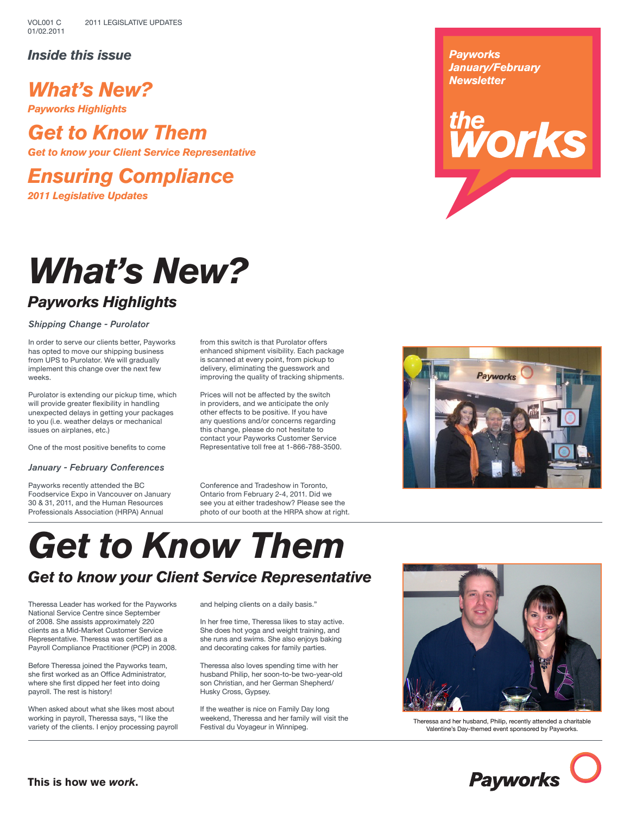## *Inside this issue*

# *What's New?*

*Payworks Highlights*

# *Get to Know Them*

*Get to know your Client Service Representative*

*Ensuring Compliance 2011 Legislative Updates*

# *What's New?*

# *Payworks Highlights*

### *Shipping Change - Purolator*

In order to serve our clients better, Payworks has opted to move our shipping business from UPS to Purolator. We will gradually implement this change over the next few weeks.

Purolator is extending our pickup time, which will provide greater flexibility in handling unexpected delays in getting your packages to you (i.e. weather delays or mechanical issues on airplanes, etc.)

One of the most positive benefits to come

#### *January - February Conferences*

Payworks recently attended the BC Foodservice Expo in Vancouver on January 30 & 31, 2011, and the Human Resources Professionals Association (HRPA) Annual

from this switch is that Purolator offers enhanced shipment visibility. Each package is scanned at every point, from pickup to delivery, eliminating the guesswork and improving the quality of tracking shipments.

Prices will not be affected by the switch in providers, and we anticipate the only other effects to be positive. If you have any questions and/or concerns regarding this change, please do not hesitate to contact your Payworks Customer Service Representative toll free at 1-866-788-3500.

Conference and Tradeshow in Toronto, Ontario from February 2-4, 2011. Did we see you at either tradeshow? Please see the photo of our booth at the HRPA show at right.

## *Payworks January/February Newsletter*

# **r**orks



# *Get to Know Them*

# *Get to know your Client Service Representative*

Theressa Leader has worked for the Payworks National Service Centre since September of 2008. She assists approximately 220 clients as a Mid-Market Customer Service Representative. Theressa was certified as a Payroll Compliance Practitioner (PCP) in 2008.

Before Theressa joined the Payworks team, she first worked as an Office Administrator, where she first dipped her feet into doing payroll. The rest is history!

When asked about what she likes most about working in payroll, Theressa says, "I like the variety of the clients. I enjoy processing payroll and helping clients on a daily basis."

In her free time, Theressa likes to stay active. She does hot yoga and weight training, and she runs and swims. She also enjoys baking and decorating cakes for family parties.

Theressa also loves spending time with her husband Philip, her soon-to-be two-year-old son Christian, and her German Shepherd/ Husky Cross, Gypsey.

If the weather is nice on Family Day long weekend, Theressa and her family will visit the Festival du Voyageur in Winnipeg.



Theressa and her husband, Philip, recently attended a charitable Valentine's Day-themed event sponsored by Payworks.